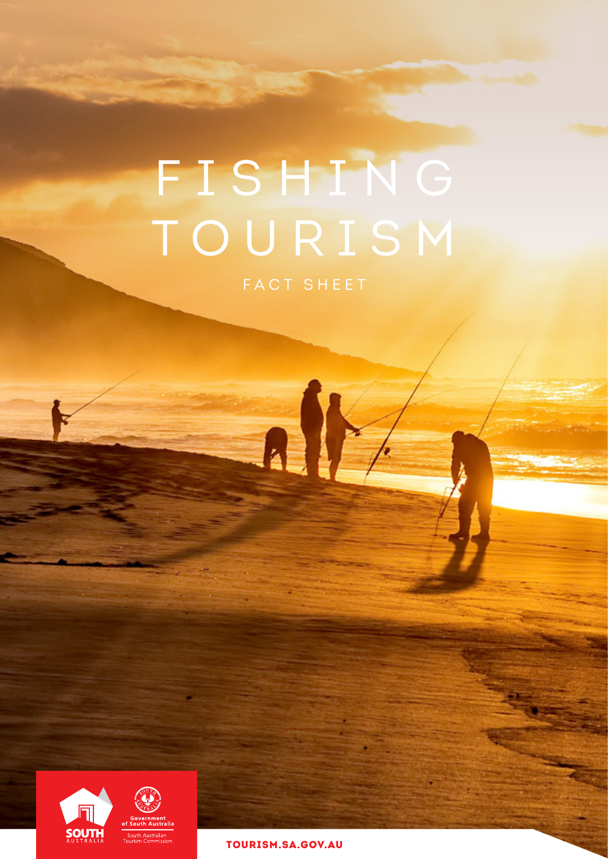# FISHING TOURISM

AIY



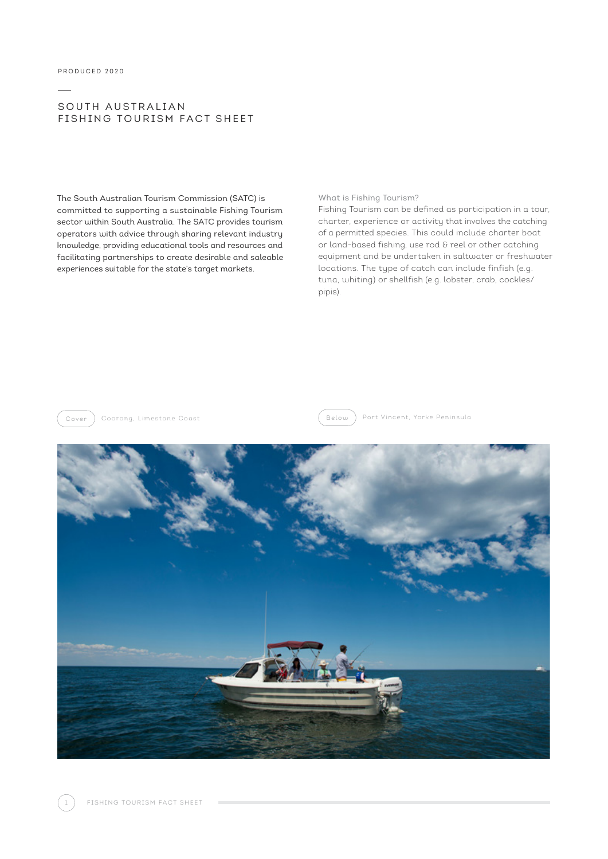#### SOUTH AUSTRALIAN FISHING TOURISM FACT SHEET

The South Australian Tourism Commission (SATC) is committed to supporting a sustainable Fishing Tourism sector within South Australia. The SATC provides tourism operators with advice through sharing relevant industry knowledge, providing educational tools and resources and facilitating partnerships to create desirable and saleable experiences suitable for the state's target markets.

#### What is Fishing Tourism?

Fishing Tourism can be defined as participation in a tour, charter, experience or activity that involves the catching of a permitted species. This could include charter boat or land-based fishing, use rod & reel or other catching equipment and be undertaken in saltwater or freshwater locations. The type of catch can include finfish (e.g. tuna, whiting) or shellfish (e.g. lobster, crab, cockles/ pipis).



Cover ) Coorong, Limestone Coast Entertainment (Below ) Port Vincent, Yorke Peninsula

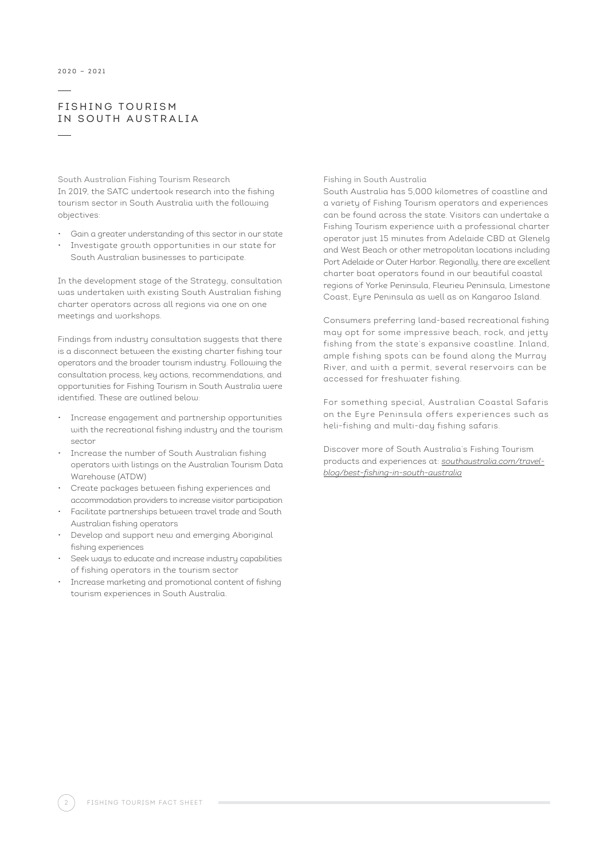#### **FISHING TOURISM** IN SOUTH AUSTRALIA

South Australian Fishing Tourism Research In 2019, the SATC undertook research into the fishing tourism sector in South Australia with the following objectives:

- Gain a greater understanding of this sector in our state
- Investigate growth opportunities in our state for South Australian businesses to participate.

In the development stage of the Strategy, consultation was undertaken with existing South Australian fishing charter operators across all regions via one on one meetings and workshops.

Findings from industry consultation suggests that there is a disconnect between the existing charter fishing tour operators and the broader tourism industry. Following the consultation process, key actions, recommendations, and opportunities for Fishing Tourism in South Australia were identified. These are outlined below:

- Increase engagement and partnership opportunities with the recreational fishing industry and the tourism sector
- Increase the number of South Australian fishing operators with listings on the Australian Tourism Data Warehouse (ATDW)
- Create packages between fishing experiences and accommodation providers to increase visitor participation
- Facilitate partnerships between travel trade and South Australian fishing operators
- Develop and support new and emerging Aboriginal fishing experiences
- Seek ways to educate and increase industry capabilities of fishing operators in the tourism sector
- Increase marketing and promotional content of fishing tourism experiences in South Australia.

#### Fishing in South Australia

South Australia has 5,000 kilometres of coastline and a variety of Fishing Tourism operators and experiences can be found across the state. Visitors can undertake a Fishing Tourism experience with a professional charter operator just 15 minutes from Adelaide CBD at Glenelg and West Beach or other metropolitan locations including Port Adelaide or Outer Harbor. Regionally, there are excellent charter boat operators found in our beautiful coastal regions of Yorke Peninsula, Fleurieu Peninsula, Limestone Coast, Eyre Peninsula as well as on Kangaroo Island.

Consumers preferring land-based recreational fishing may opt for some impressive beach, rock, and jetty fishing from the state's expansive coastline. Inland, ample fishing spots can be found along the Murray River, and with a permit, several reservoirs can be accessed for freshwater fishing.

For something special, Australian Coastal Safaris on the Eyre Peninsula offers experiences such as heli-fishing and multi-day fishing safaris.

Discover more of South Australia's Fishing Tourism products and experiences at: *[southaustralia.com/travel](https://southaustralia.com/travel-blog/best-fishing-in-south-australia)[blog/best-fishing-in-south-australia](https://southaustralia.com/travel-blog/best-fishing-in-south-australia)*

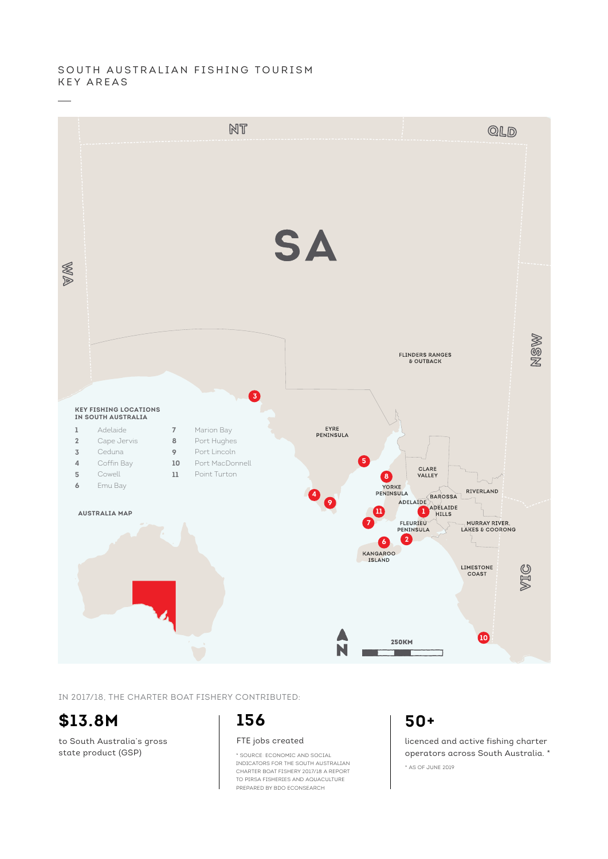#### SOUTH AUSTRALIAN FISHING TOURISM KEY AREAS



IN 2017/18, THE CHARTER BOAT FISHERY CONTRIBUTED:

# **\$13.8M**

to South Australia's gross state product (GSP)

# **156**

FTE jobs created

\* SOURCE: ECONOMIC AND SOCIAL INDICATORS FOR THE SOUTH AUSTRALIAN CHARTER BOAT FISHERY 2017/18 A REPORT TO PIRSA FISHERIES AND AQUACULTURE PREPARED BY BDO ECONSEARCH

# **50+**

\* AS OF JUNE 2019 licenced and active fishing charter operators across South Australia. \*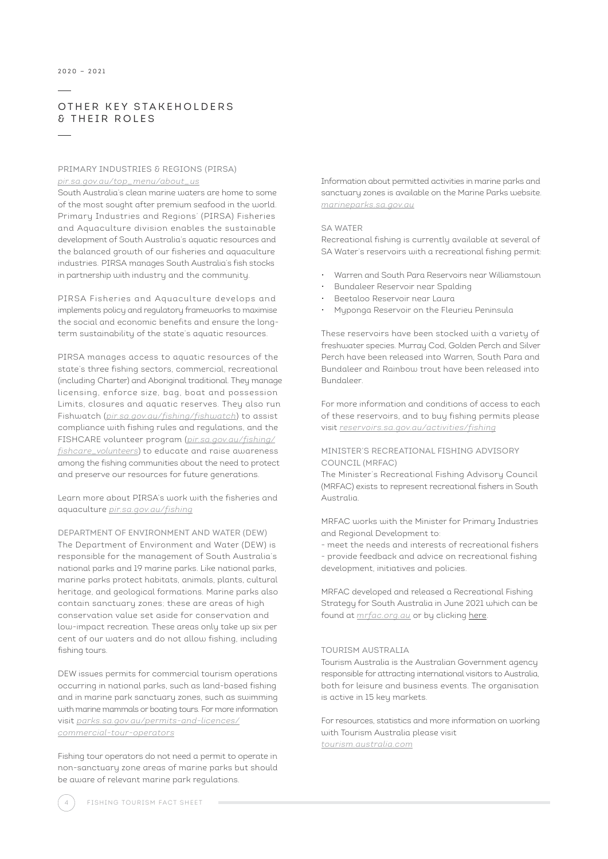#### OTHER KEY STAKEHOLDERS & THEIR ROLES

#### PRIMARY INDUSTRIES & REGIONS (PIRSA) *[pir.sa.gov.au/top\\_menu/about\\_us](http://pir.sa.gov.au/top_menu/about_us )*

South Australia's clean marine waters are home to some of the most sought after premium seafood in the world. Primary Industries and Regions' (PIRSA) Fisheries and Aquaculture division enables the sustainable development of South Australia's aquatic resources and the balanced growth of our fisheries and aquaculture industries. PIRSA manages South Australia's fish stocks in partnership with industry and the community.

PIRSA Fisheries and Aquaculture develops and implements policy and regulatory frameworks to maximise the social and economic benefits and ensure the longterm sustainability of the state's aquatic resources.

PIRSA manages access to aquatic resources of the state's three fishing sectors, commercial, recreational (including Charter) and Aboriginal traditional. They manage licensing, enforce size, bag, boat and possession Limits, closures and aquatic reserves. They also run Fishwatch (*[pir.sa.gov.au/fishing/fishwatch](https://pir.sa.gov.au/fishing/fishwatch)*) to assist compliance with fishing rules and regulations, and the FISHCARE volunteer program (*[pir.sa.gov.au/fishing/](https://pir.sa.gov.au/fishing/fishcare_volunteers) [fishcare\\_volunteers](https://pir.sa.gov.au/fishing/fishcare_volunteers)*) to educate and raise awareness among the fishing communities about the need to protect and preserve our resources for future generations.

Learn more about PIRSA's work with the fisheries and aquaculture *[pir.sa.gov.au/fishing](http://www.pir.sa.gov.au/fishing)*

DEPARTMENT OF ENVIRONMENT AND WATER (DEW) The Department of Environment and Water (DEW) is responsible for the management of South Australia's national parks and 19 marine parks. Like national parks, marine parks protect habitats, animals, plants, cultural heritage, and geological formations. Marine parks also contain sanctuary zones; these are areas of high conservation value set aside for conservation and low-impact recreation. These areas only take up six per cent of our waters and do not allow fishing, including fishing tours.

DEW issues permits for commercial tourism operations occurring in national parks, such as land-based fishing and in marine park sanctuary zones, such as swimming with marine mammals or boating tours. For more information visit *[parks.sa.gov.au/permits-and-licences/](https://www.parks.sa.gov.au/permits-and-licences/commercial-tour-operators) [commercial-tour-operators](https://www.parks.sa.gov.au/permits-and-licences/commercial-tour-operators)*

Fishing tour operators do not need a permit to operate in non-sanctuary zone areas of marine parks but should be aware of relevant marine park regulations.

Information about permitted activities in marine parks and sanctuary zones is available on the Marine Parks website. *[marineparks.sa.gov.au](http://marineparks.sa.gov.au)*

#### SA WATER

Recreational fishing is currently available at several of SA Water's reservoirs with a recreational fishing permit:

- Warren and South Para Reservoirs near Williamstown
- Bundaleer Reservoir near Spalding
- Beetaloo Reservoir near Laura
- Myponga Reservoir on the Fleurieu Peninsula

These reservoirs have been stocked with a variety of freshwater species. Murray Cod, Golden Perch and Silver Perch have been released into Warren, South Para and Bundaleer and Rainbow trout have been released into Bundaleer.

For more information and conditions of access to each of these reservoirs, and to buy fishing permits please visit *[reservoirs.sa.gov.au/activities/fishing](https://www.reservoirs.sa.gov.au/activities/fishing
)*

#### MINISTER'S RECREATIONAL FISHING ADVISORY COUNCIL (MRFAC)

The Minister's Recreational Fishing Advisory Council (MRFAC) exists to represent recreational fishers in South Australia.

MRFAC works with the Minister for Primary Industries and Regional Development to:

- meet the needs and interests of recreational fishers - provide feedback and advice on recreational fishing development, initiatives and policies.

MRFAC developed and released a [Recreational Fishing](https://www.google.com/url?sa=t&rct=j&q=&esrc=s&source=web&cd=&cad=rja&uact=8&ved=2ahUKEwj88oHy-6D0AhXOcn0KHZytCL8QFnoECAQQAQ&url=https%3A%2F%2Fwww.mrfac.org.au%2Fdocuments%2FDraft-MRFAC-Strategic-Plan-Draft-MARCH-2021.pdf&usg=AOvVaw0tH6QG0zd9KLyZ6ZaNDBHR)  [Strategy](https://www.google.com/url?sa=t&rct=j&q=&esrc=s&source=web&cd=&cad=rja&uact=8&ved=2ahUKEwj88oHy-6D0AhXOcn0KHZytCL8QFnoECAQQAQ&url=https%3A%2F%2Fwww.mrfac.org.au%2Fdocuments%2FDraft-MRFAC-Strategic-Plan-Draft-MARCH-2021.pdf&usg=AOvVaw0tH6QG0zd9KLyZ6ZaNDBHR) for South Australia in June 2021 which can be found at *[mrfac.org.au](https://www.mrfac.org.au/)* or by clicking [here.](https://www.mrfac.org.au/documents/Draft-MRFAC-Strategic-Plan-Draft-MARCH-2021.pdf)

#### TOURISM AUSTRALIA

Tourism Australia is the Australian Government agency responsible for attracting international visitors to Australia, both for leisure and business events. The organisation is active in 15 key markets.

For resources, statistics and more information on working with Tourism Australia please visit *[tourism.australia.com](http://tourism.australia.com)*

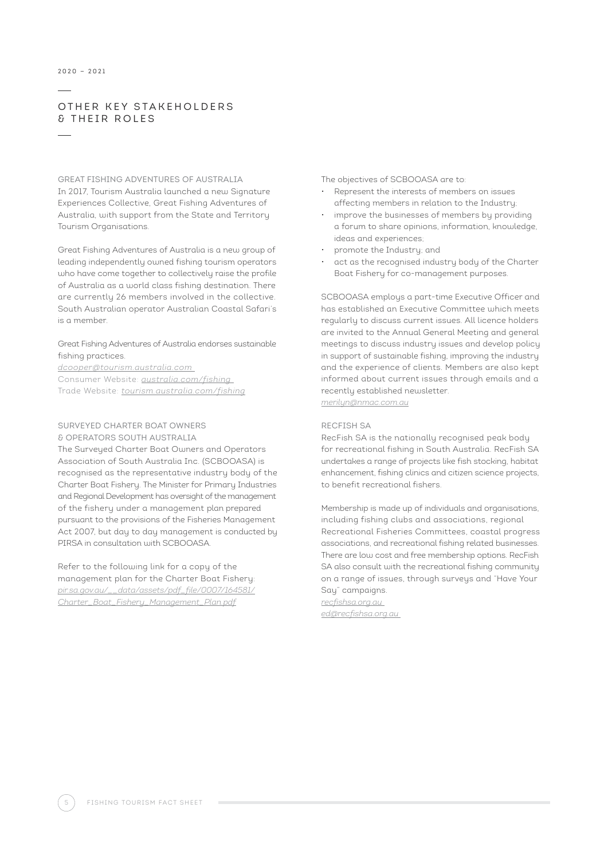#### 2020 — 2021

#### OTHER KEY STAKEHOLDERS & THEIR ROLES

### GREAT FISHING ADVENTURES OF AUSTRALIA

In 2017, Tourism Australia launched a new Signature Experiences Collective, Great Fishing Adventures of Australia, with support from the State and Territory Tourism Organisations.

Great Fishing Adventures of Australia is a new group of leading independently owned fishing tourism operators who have come together to collectively raise the profile of Australia as a world class fishing destination. There are currently 26 members involved in the collective. South Australian operator Australian Coastal Safari's is a member.

#### Great Fishing Adventures of Australia endorses sustainable fishing practices.

*[dcooper@tourism.australia.com](mailto:dcooper%40tourism.australia.com%20?subject=)* 

Consumer Website: *[australia.com/fishing](http://australia.com/fishing)*  Trade Website: *[tourism.australia.com/fishing](http://tourism.australia.com/fishing)*

#### SURVEYED CHARTER BOAT OWNERS & OPERATORS SOUTH AUSTRALIA

The Surveyed Charter Boat Owners and Operators Association of South Australia Inc. (SCBOOASA) is recognised as the representative industry body of the Charter Boat Fishery. The Minister for Primary Industries and Regional Development has oversight of the management of the fishery under a management plan prepared pursuant to the provisions of the Fisheries Management Act 2007, but day to day management is conducted by PIRSA in consultation with SCBOOASA.

Refer to the following link for a copy of the management plan for the Charter Boat Fishery: *[pir.sa.gov.au/\\_\\_data/assets/pdf\\_file/0007/164581/](https://pir.sa.gov.au/__data/assets/pdf_file/0007/164581/Charter_Boat_Fishery_Management_Plan.pdf) [Charter\\_Boat\\_Fishery\\_Management\\_Plan.pdf](https://pir.sa.gov.au/__data/assets/pdf_file/0007/164581/Charter_Boat_Fishery_Management_Plan.pdf)*

The objectives of SCBOOASA are to:

- Represent the interests of members on issues affecting members in relation to the Industry;
- improve the businesses of members by providing a forum to share opinions, information, knowledge, ideas and experiences;
- promote the Industry; and
- act as the recognised industry body of the Charter Boat Fishery for co-management purposes.

SCBOOASA employs a part-time Executive Officer and has established an Executive Committee which meets regularly to discuss current issues. All licence holders are invited to the Annual General Meeting and general meetings to discuss industry issues and develop policy in support of sustainable fishing, improving the industry and the experience of clients. Members are also kept informed about current issues through emails and a recently established newsletter.

*[merilyn@nmac.com.au](mailto:merilyn%40nmac.com.au?subject=)*

#### RECFISH SA

RecFish SA is the nationally recognised peak body for recreational fishing in South Australia. RecFish SA undertakes a range of projects like fish stocking, habitat enhancement, fishing clinics and citizen science projects, to benefit recreational fishers.

Membership is made up of individuals and organisations, including fishing clubs and associations, regional Recreational Fisheries Committees, coastal progress associations, and recreational fishing related businesses. There are low cost and free membership options. RecFish SA also consult with the recreational fishing community on a range of issues, through surveys and "Have Your Say" campaigns.

*[recfishsa.org.au](http://recfishsa.org.au)  [ed@recfishsa.org.au](mailto:ed%40recfishsa.org.au%20?subject=)*